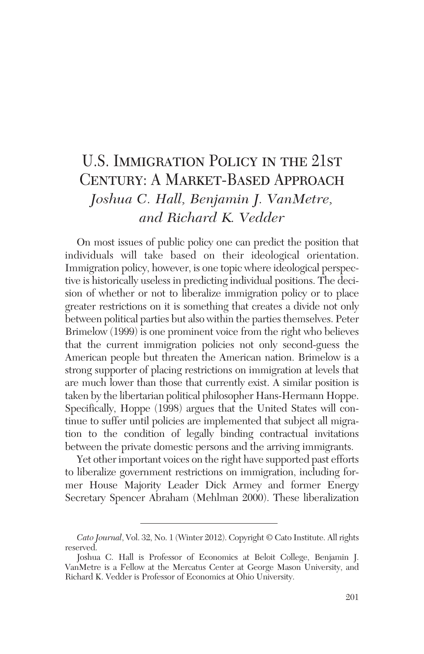# U.S. Immigration Policy in the 21st Century: A Market-Based Approach *Joshua C. Hall, Benjamin J. VanMetre, and Richard K. Vedder*

On most issues of public policy one can predict the position that individuals will take based on their ideological orientation. Immigration policy, however, is one topic where ideological perspective is historically useless in predicting individual positions. The decision of whether or not to liberalize immigration policy or to place greater restrictions on it is something that creates a divide not only between political parties but also within the parties themselves. Peter Brimelow (1999) is one prominent voice from the right who believes that the current immigration policies not only second-guess the American people but threaten the American nation. Brimelow is a strong supporter of placing restrictions on immigration at levels that are much lower than those that currently exist. A similar position is taken by the libertarian political philosopher Hans-Hermann Hoppe. Specifically, Hoppe (1998) argues that the United States will continue to suffer until policies are implemented that subject all migration to the condition of legally binding contractual invitations between the private domestic persons and the arriving immigrants.

Yet other important voices on the right have supported past efforts to liberalize government restrictions on immigration, including former House Majority Leader Dick Armey and former Energy Secretary Spencer Abraham (Mehlman 2000). These liberalization

*Cato Journal*, Vol. 32, No. 1 (Winter 2012). Copyright © Cato Institute. All rights reserved.

Joshua C. Hall is Professor of Economics at Beloit College, Benjamin J. VanMetre is a Fellow at the Mercatus Center at George Mason University, and Richard K. Vedder is Professor of Economics at Ohio University.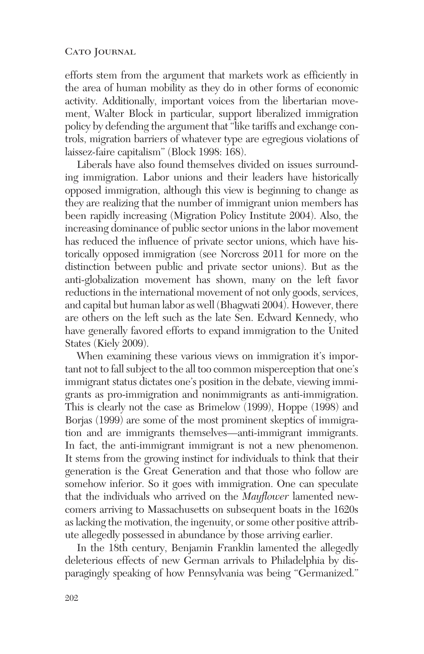efforts stem from the argument that markets work as efficiently in the area of human mobility as they do in other forms of economic activity. Additionally, important voices from the libertarian movement, Walter Block in particular, support liberalized immigration policy by defending the argument that "like tariffs and exchange controls, migration barriers of whatever type are egregious violations of laissez-faire capitalism" (Block 1998: 168).

Liberals have also found themselves divided on issues surrounding immigration. Labor unions and their leaders have historically opposed immigration, although this view is beginning to change as they are realizing that the number of immigrant union members has been rapidly increasing (Migration Policy Institute 2004). Also, the increasing dominance of public sector unions in the labor movement has reduced the influence of private sector unions, which have historically opposed immigration (see Norcross 2011 for more on the distinction between public and private sector unions). But as the anti-globalization movement has shown, many on the left favor reductions in the international movement of not only goods, services, and capital but human labor as well (Bhagwati 2004). However, there are others on the left such as the late Sen. Edward Kennedy, who have generally favored efforts to expand immigration to the United States (Kiely 2009).

When examining these various views on immigration it's important not to fall subject to the all too common misperception that one's immigrant status dictates one's position in the debate, viewing immigrants as pro-immigration and nonimmigrants as anti-immigration. This is clearly not the case as Brimelow (1999), Hoppe (1998) and Borjas (1999) are some of the most prominent skeptics of immigration and are immigrants themselves—anti-immigrant immigrants. In fact, the anti-immigrant immigrant is not a new phenomenon. It stems from the growing instinct for individuals to think that their generation is the Great Generation and that those who follow are somehow inferior. So it goes with immigration. One can speculate that the individuals who arrived on the *Mayflower* lamented newcomers arriving to Massachusetts on subsequent boats in the 1620s as lacking the motivation, the ingenuity, or some other positive attribute allegedly possessed in abundance by those arriving earlier.

In the 18th century, Benjamin Franklin lamented the allegedly deleterious effects of new German arrivals to Philadelphia by disparagingly speaking of how Pennsylvania was being "Germanized."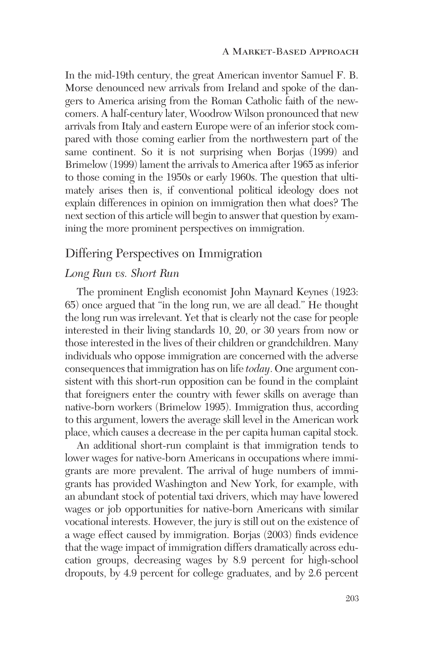In the mid-19th century, the great American inventor Samuel F. B. Morse denounced new arrivals from Ireland and spoke of the dangers to America arising from the Roman Catholic faith of the newcomers. A half-century later, Woodrow Wilson pronounced that new arrivals from Italy and eastern Europe were of an inferior stock compared with those coming earlier from the northwestern part of the same continent. So it is not surprising when Borjas (1999) and Brimelow (1999) lament the arrivals to America after 1965 as inferior to those coming in the 1950s or early 1960s. The question that ultimately arises then is, if conventional political ideology does not explain differences in opinion on immigration then what does? The next section of this article will begin to answer that question by examining the more prominent perspectives on immigration.

# Differing Perspectives on Immigration

### *Long Run vs. Short Run*

The prominent English economist John Maynard Keynes (1923: 65) once argued that "in the long run, we are all dead." He thought the long run was irrelevant. Yet that is clearly not the case for people interested in their living standards 10, 20, or 30 years from now or those interested in the lives of their children or grandchildren. Many individuals who oppose immigration are concerned with the adverse consequences that immigration has on life *today*. One argument consistent with this short-run opposition can be found in the complaint that foreigners enter the country with fewer skills on average than native-born workers (Brimelow 1995). Immigration thus, according to this argument, lowers the average skill level in the American work place, which causes a decrease in the per capita human capital stock.

An additional short-run complaint is that immigration tends to lower wages for native-born Americans in occupations where immigrants are more prevalent. The arrival of huge numbers of immigrants has provided Washington and New York, for example, with an abundant stock of potential taxi drivers, which may have lowered wages or job opportunities for native-born Americans with similar vocational interests. However, the jury is still out on the existence of a wage effect caused by immigration. Borjas (2003) finds evidence that the wage impact of immigration differs dramatically across education groups, decreasing wages by 8.9 percent for high-school dropouts, by 4.9 percent for college graduates, and by 2.6 percent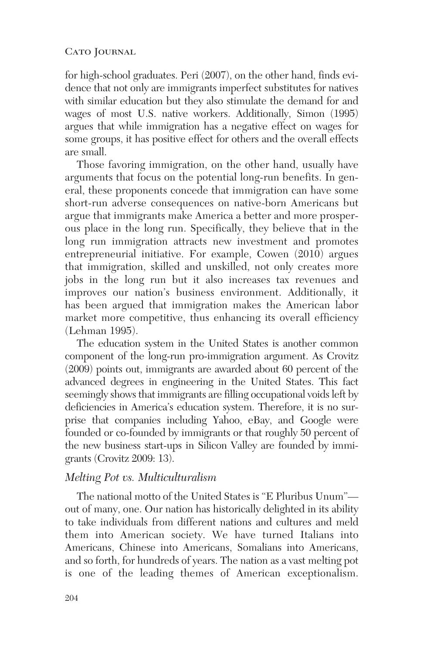for high-school graduates. Peri (2007), on the other hand, finds evidence that not only are immigrants imperfect substitutes for natives with similar education but they also stimulate the demand for and wages of most U.S. native workers. Additionally, Simon (1995) argues that while immigration has a negative effect on wages for some groups, it has positive effect for others and the overall effects are small.

Those favoring immigration, on the other hand, usually have arguments that focus on the potential long-run benefits. In general, these proponents concede that immigration can have some short-run adverse consequences on native-born Americans but argue that immigrants make America a better and more prosperous place in the long run. Specifically, they believe that in the long run immigration attracts new investment and promotes entrepreneurial initiative. For example, Cowen (2010) argues that immigration, skilled and unskilled, not only creates more jobs in the long run but it also increases tax revenues and improves our nation's business environment. Additionally, it has been argued that immigration makes the American labor market more competitive, thus enhancing its overall efficiency (Lehman 1995).

The education system in the United States is another common component of the long-run pro-immigration argument. As Crovitz (2009) points out, immigrants are awarded about 60 percent of the advanced degrees in engineering in the United States. This fact seemingly shows that immigrants are filling occupational voids left by deficiencies in America's education system. Therefore, it is no surprise that companies including Yahoo, eBay, and Google were founded or co-founded by immigrants or that roughly 50 percent of the new business start-ups in Silicon Valley are founded by immigrants (Crovitz 2009: 13).

### *Melting Pot vs. Multiculturalism*

The national motto of the United States is "E Pluribus Unum" out of many, one. Our nation has historically delighted in its ability to take individuals from different nations and cultures and meld them into American society. We have turned Italians into Americans, Chinese into Americans, Somalians into Americans, and so forth, for hundreds of years. The nation as a vast melting pot is one of the leading themes of American exceptionalism.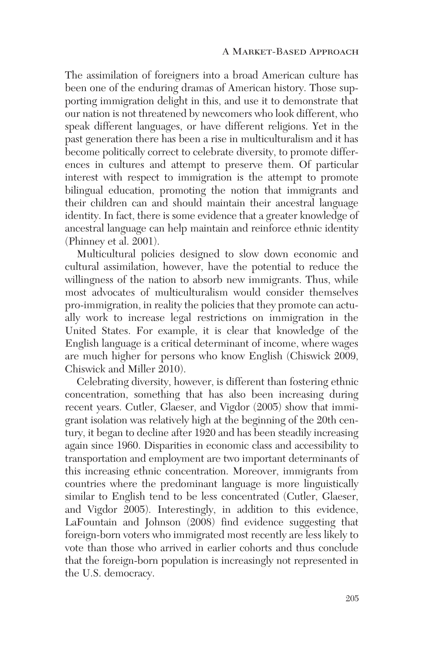The assimilation of foreigners into a broad American culture has been one of the enduring dramas of American history. Those supporting immigration delight in this, and use it to demonstrate that our nation is not threatened by newcomers who look different, who speak different languages, or have different religions. Yet in the past generation there has been a rise in multiculturalism and it has become politically correct to celebrate diversity, to promote differences in cultures and attempt to preserve them. Of particular interest with respect to immigration is the attempt to promote bilingual education, promoting the notion that immigrants and their children can and should maintain their ancestral language identity. In fact, there is some evidence that a greater knowledge of ancestral language can help maintain and reinforce ethnic identity (Phinney et al. 2001).

Multicultural policies designed to slow down economic and cultural assimilation, however, have the potential to reduce the willingness of the nation to absorb new immigrants. Thus, while most advocates of multiculturalism would consider themselves pro-immigration, in reality the policies that they promote can actually work to increase legal restrictions on immigration in the United States. For example, it is clear that knowledge of the English language is a critical determinant of income, where wages are much higher for persons who know English (Chiswick 2009, Chiswick and Miller 2010).

Celebrating diversity, however, is different than fostering ethnic concentration, something that has also been increasing during recent years. Cutler, Glaeser, and Vigdor (2005) show that immigrant isolation was relatively high at the beginning of the 20th century, it began to decline after 1920 and has been steadily increasing again since 1960. Disparities in economic class and accessibility to transportation and employment are two important determinants of this increasing ethnic concentration. Moreover, immigrants from countries where the predominant language is more linguistically similar to English tend to be less concentrated (Cutler, Glaeser, and Vigdor 2005). Interestingly, in addition to this evidence, LaFountain and Johnson (2008) find evidence suggesting that foreign-born voters who immigrated most recently are less likely to vote than those who arrived in earlier cohorts and thus conclude that the foreign-born population is increasingly not represented in the U.S. democracy.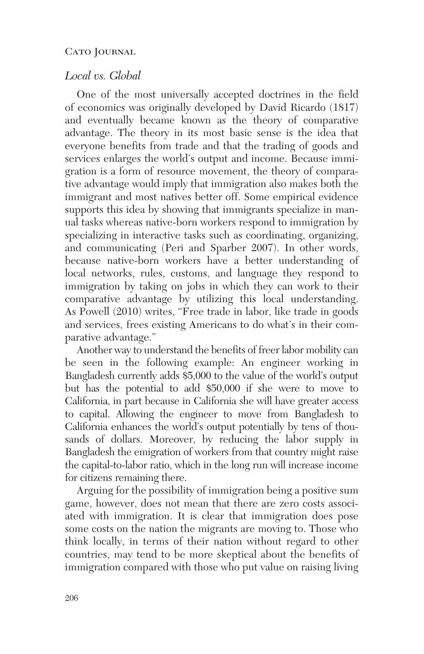## *Local vs. Global*

One of the most universally accepted doctrines in the field of economics was originally developed by David Ricardo (1817) and eventually became known as the theory of comparative advantage. The theory in its most basic sense is the idea that everyone benefits from trade and that the trading of goods and services enlarges the world's output and income. Because immigration is a form of resource movement, the theory of comparative advantage would imply that immigration also makes both the immigrant and most natives better off. Some empirical evidence supports this idea by showing that immigrants specialize in manual tasks whereas native-born workers respond to immigration by specializing in interactive tasks such as coordinating, organizing, and communicating (Peri and Sparber 2007). In other words, because native-born workers have a better understanding of local networks, rules, customs, and language they respond to immigration by taking on jobs in which they can work to their comparative advantage by utilizing this local understanding. As Powell (2010) writes, "Free trade in labor, like trade in goods and services, frees existing Americans to do what's in their comparative advantage."

Another way to understand the benefits of freer labor mobility can be seen in the following example: An engineer working in Bangladesh currently adds \$5,000 to the value of the world's output but has the potential to add \$50,000 if she were to move to California, in part because in California she will have greater access to capital. Allowing the engineer to move from Bangladesh to California enhances the world's output potentially by tens of thousands of dollars. Moreover, by reducing the labor supply in Bangladesh the emigration of workers from that country might raise the capital-to-labor ratio, which in the long run will increase income for citizens remaining there.

Arguing for the possibility of immigration being a positive sum game, however, does not mean that there are zero costs associated with immigration. It is clear that immigration does pose some costs on the nation the migrants are moving to. Those who think locally, in terms of their nation without regard to other countries, may tend to be more skeptical about the benefits of immigration compared with those who put value on raising living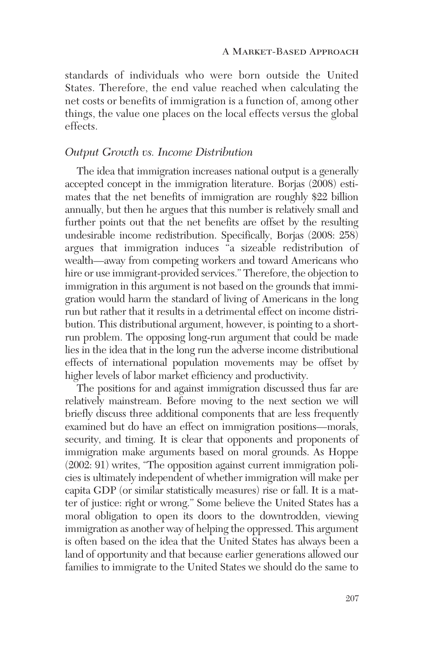standards of individuals who were born outside the United States. Therefore, the end value reached when calculating the net costs or benefits of immigration is a function of, among other things, the value one places on the local effects versus the global effects.

#### *Output Growth vs. Income Distribution*

The idea that immigration increases national output is a generally accepted concept in the immigration literature. Borjas (2008) estimates that the net benefits of immigration are roughly \$22 billion annually, but then he argues that this number is relatively small and further points out that the net benefits are offset by the resulting undesirable income redistribution. Specifically, Borjas (2008: 258) argues that immigration induces "a sizeable redistribution of wealth—away from competing workers and toward Americans who hire or use immigrant-provided services." Therefore, the objection to immigration in this argument is not based on the grounds that immigration would harm the standard of living of Americans in the long run but rather that it results in a detrimental effect on income distribution. This distributional argument, however, is pointing to a shortrun problem. The opposing long-run argument that could be made lies in the idea that in the long run the adverse income distributional effects of international population movements may be offset by higher levels of labor market efficiency and productivity.

The positions for and against immigration discussed thus far are relatively mainstream. Before moving to the next section we will briefly discuss three additional components that are less frequently examined but do have an effect on immigration positions—morals, security, and timing. It is clear that opponents and proponents of immigration make arguments based on moral grounds. As Hoppe (2002: 91) writes, "The opposition against current immigration policies is ultimately independent of whether immigration will make per capita GDP (or similar statistically measures) rise or fall. It is a matter of justice: right or wrong." Some believe the United States has a moral obligation to open its doors to the downtrodden, viewing immigration as another way of helping the oppressed. This argument is often based on the idea that the United States has always been a land of opportunity and that because earlier generations allowed our families to immigrate to the United States we should do the same to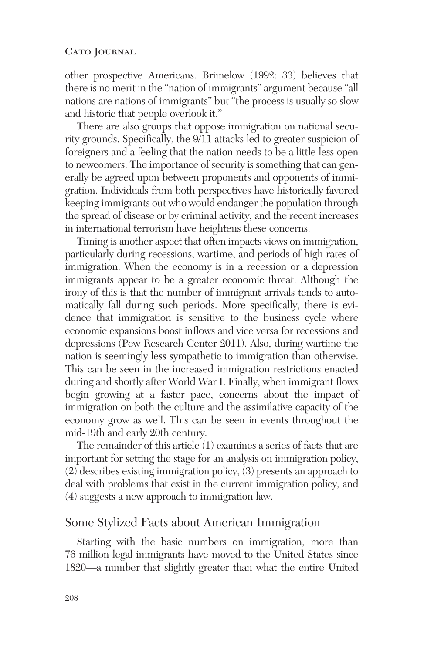other prospective Americans. Brimelow (1992: 33) believes that there is no merit in the "nation of immigrants" argument because "all nations are nations of immigrants" but "the process is usually so slow and historic that people overlook it."

There are also groups that oppose immigration on national security grounds. Specifically, the 9/11 attacks led to greater suspicion of foreigners and a feeling that the nation needs to be a little less open to newcomers. The importance of security is something that can generally be agreed upon between proponents and opponents of immigration. Individuals from both perspectives have historically favored keeping immigrants out who would endanger the population through the spread of disease or by criminal activity, and the recent increases in international terrorism have heightens these concerns.

Timing is another aspect that often impacts views on immigration, particularly during recessions, wartime, and periods of high rates of immigration. When the economy is in a recession or a depression immigrants appear to be a greater economic threat. Although the irony of this is that the number of immigrant arrivals tends to automatically fall during such periods. More specifically, there is evidence that immigration is sensitive to the business cycle where economic expansions boost inflows and vice versa for recessions and depressions (Pew Research Center 2011). Also, during wartime the nation is seemingly less sympathetic to immigration than otherwise. This can be seen in the increased immigration restrictions enacted during and shortly after World War I. Finally, when immigrant flows begin growing at a faster pace, concerns about the impact of immigration on both the culture and the assimilative capacity of the economy grow as well. This can be seen in events throughout the mid-19th and early 20th century.

The remainder of this article (1) examines a series of facts that are important for setting the stage for an analysis on immigration policy, (2) describes existing immigration policy, (3) presents an approach to deal with problems that exist in the current immigration policy, and (4) suggests a new approach to immigration law.

# Some Stylized Facts about American Immigration

Starting with the basic numbers on immigration, more than 76 million legal immigrants have moved to the United States since 1820—a number that slightly greater than what the entire United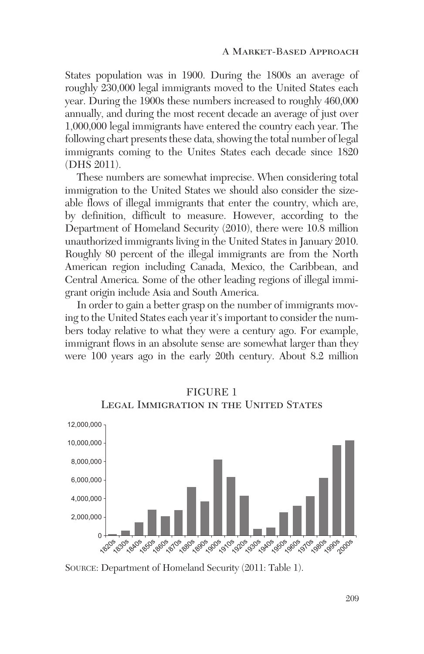States population was in 1900. During the 1800s an average of roughly 230,000 legal immigrants moved to the United States each year. During the 1900s these numbers increased to roughly 460,000 annually, and during the most recent decade an average of just over 1,000,000 legal immigrants have entered the country each year. The following chart presents these data, showing the total number of legal immigrants coming to the Unites States each decade since 1820 (DHS 2011).

These numbers are somewhat imprecise. When considering total immigration to the United States we should also consider the sizeable flows of illegal immigrants that enter the country, which are, by definition, difficult to measure. However, according to the Department of Homeland Security (2010), there were 10.8 million unauthorized immigrants living in the United States in January 2010. Roughly 80 percent of the illegal immigrants are from the North American region including Canada, Mexico, the Caribbean, and Central America. Some of the other leading regions of illegal immigrant origin include Asia and South America.

In order to gain a better grasp on the number of immigrants moving to the United States each year it's important to consider the numbers today relative to what they were a century ago. For example, immigrant flows in an absolute sense are somewhat larger than they were 100 years ago in the early 20th century. About 8.2 million



FIGURE 1 LEGAL IMMIGRATION IN THE UNITED STATES

SOURCE: Department of Homeland Security (2011: Table 1).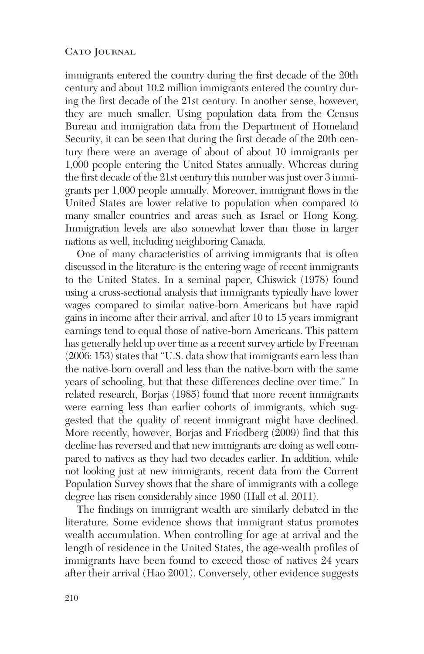immigrants entered the country during the first decade of the 20th century and about 10.2 million immigrants entered the country during the first decade of the 21st century. In another sense, however, they are much smaller. Using population data from the Census Bureau and immigration data from the Department of Homeland Security, it can be seen that during the first decade of the 20th century there were an average of about of about 10 immigrants per 1,000 people entering the United States annually. Whereas during the first decade of the 21st century this number was just over 3 immigrants per 1,000 people annually. Moreover, immigrant flows in the United States are lower relative to population when compared to many smaller countries and areas such as Israel or Hong Kong. Immigration levels are also somewhat lower than those in larger nations as well, including neighboring Canada.

One of many characteristics of arriving immigrants that is often discussed in the literature is the entering wage of recent immigrants to the United States. In a seminal paper, Chiswick (1978) found using a cross-sectional analysis that immigrants typically have lower wages compared to similar native-born Americans but have rapid gains in income after their arrival, and after 10 to 15 years immigrant earnings tend to equal those of native-born Americans. This pattern has generally held up over time as a recent survey article by Freeman (2006: 153) states that "U.S. data show that immigrants earn less than the native-born overall and less than the native-born with the same years of schooling, but that these differences decline over time." In related research, Borjas (1985) found that more recent immigrants were earning less than earlier cohorts of immigrants, which suggested that the quality of recent immigrant might have declined. More recently, however, Borjas and Friedberg (2009) find that this decline has reversed and that new immigrants are doing as well compared to natives as they had two decades earlier. In addition, while not looking just at new immigrants, recent data from the Current Population Survey shows that the share of immigrants with a college degree has risen considerably since 1980 (Hall et al. 2011).

The findings on immigrant wealth are similarly debated in the literature. Some evidence shows that immigrant status promotes wealth accumulation. When controlling for age at arrival and the length of residence in the United States, the age-wealth profiles of immigrants have been found to exceed those of natives 24 years after their arrival (Hao 2001). Conversely, other evidence suggests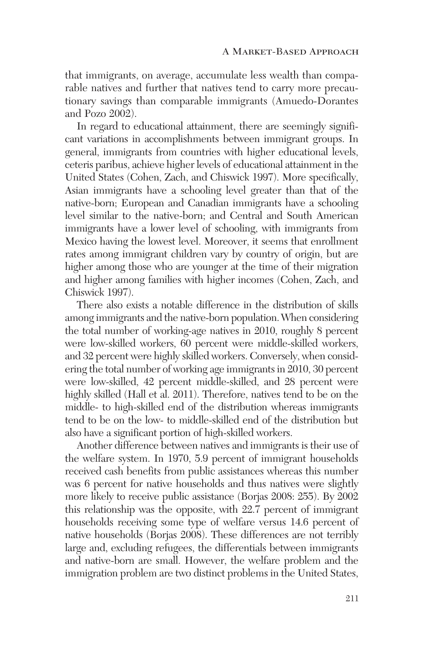that immigrants, on average, accumulate less wealth than comparable natives and further that natives tend to carry more precautionary savings than comparable immigrants (Amuedo-Dorantes and Pozo 2002).

In regard to educational attainment, there are seemingly significant variations in accomplishments between immigrant groups. In general, immigrants from countries with higher educational levels, ceteris paribus, achieve higher levels of educational attainment in the United States (Cohen, Zach, and Chiswick 1997). More specifically, Asian immigrants have a schooling level greater than that of the native-born; European and Canadian immigrants have a schooling level similar to the native-born; and Central and South American immigrants have a lower level of schooling, with immigrants from Mexico having the lowest level. Moreover, it seems that enrollment rates among immigrant children vary by country of origin, but are higher among those who are younger at the time of their migration and higher among families with higher incomes (Cohen, Zach, and Chiswick 1997).

There also exists a notable difference in the distribution of skills among immigrants and the native-born population. When considering the total number of working-age natives in 2010, roughly 8 percent were low-skilled workers, 60 percent were middle-skilled workers, and 32 percent were highly skilled workers. Conversely, when considering the total number of working age immigrants in 2010, 30 percent were low-skilled, 42 percent middle-skilled, and 28 percent were highly skilled (Hall et al. 2011). Therefore, natives tend to be on the middle- to high-skilled end of the distribution whereas immigrants tend to be on the low- to middle-skilled end of the distribution but also have a significant portion of high-skilled workers.

Another difference between natives and immigrants is their use of the welfare system. In 1970, 5.9 percent of immigrant households received cash benefits from public assistances whereas this number was 6 percent for native households and thus natives were slightly more likely to receive public assistance (Borjas 2008: 255). By 2002 this relationship was the opposite, with 22.7 percent of immigrant households receiving some type of welfare versus 14.6 percent of native households (Borjas 2008). These differences are not terribly large and, excluding refugees, the differentials between immigrants and native-born are small. However, the welfare problem and the immigration problem are two distinct problems in the United States,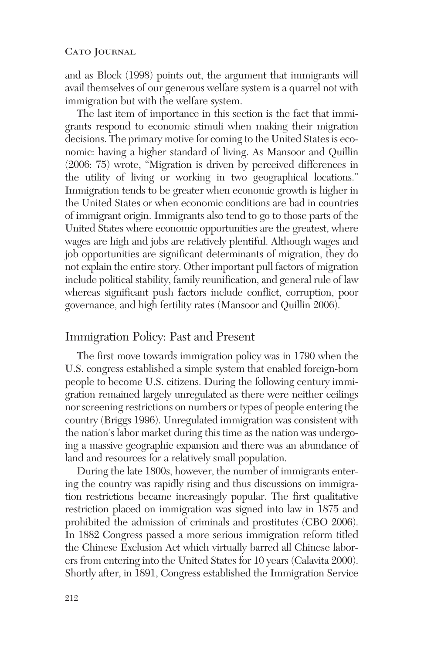and as Block (1998) points out, the argument that immigrants will avail themselves of our generous welfare system is a quarrel not with immigration but with the welfare system.

The last item of importance in this section is the fact that immigrants respond to economic stimuli when making their migration decisions. The primary motive for coming to the United States is economic: having a higher standard of living. As Mansoor and Quillin (2006: 75) wrote, "Migration is driven by perceived differences in the utility of living or working in two geographical locations." Immigration tends to be greater when economic growth is higher in the United States or when economic conditions are bad in countries of immigrant origin. Immigrants also tend to go to those parts of the United States where economic opportunities are the greatest, where wages are high and jobs are relatively plentiful. Although wages and job opportunities are significant determinants of migration, they do not explain the entire story. Other important pull factors of migration include political stability, family reunification, and general rule of law whereas significant push factors include conflict, corruption, poor governance, and high fertility rates (Mansoor and Quillin 2006).

# Immigration Policy: Past and Present

The first move towards immigration policy was in 1790 when the U.S. congress established a simple system that enabled foreign-born people to become U.S. citizens. During the following century immigration remained largely unregulated as there were neither ceilings nor screening restrictions on numbers or types of people entering the country (Briggs 1996). Unregulated immigration was consistent with the nation's labor market during this time as the nation was undergoing a massive geographic expansion and there was an abundance of land and resources for a relatively small population.

During the late 1800s, however, the number of immigrants entering the country was rapidly rising and thus discussions on immigration restrictions became increasingly popular. The first qualitative restriction placed on immigration was signed into law in 1875 and prohibited the admission of criminals and prostitutes (CBO 2006). In 1882 Congress passed a more serious immigration reform titled the Chinese Exclusion Act which virtually barred all Chinese laborers from entering into the United States for 10 years (Calavita 2000). Shortly after, in 1891, Congress established the Immigration Service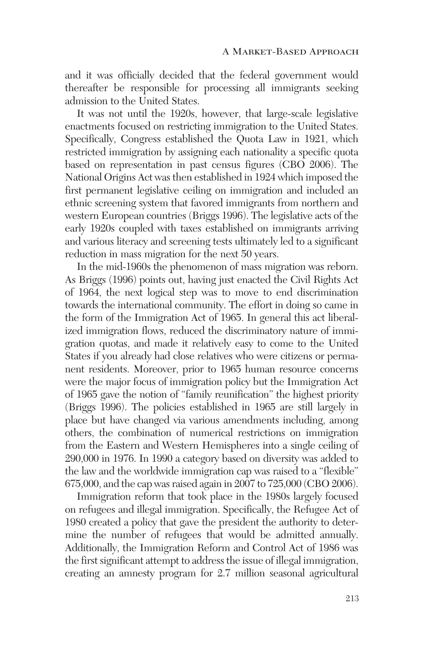and it was officially decided that the federal government would thereafter be responsible for processing all immigrants seeking admission to the United States.

It was not until the 1920s, however, that large-scale legislative enactments focused on restricting immigration to the United States. Specifically, Congress established the Quota Law in 1921, which restricted immigration by assigning each nationality a specific quota based on representation in past census figures (CBO 2006). The National Origins Act was then established in 1924 which imposed the first permanent legislative ceiling on immigration and included an ethnic screening system that favored immigrants from northern and western European countries (Briggs 1996). The legislative acts of the early 1920s coupled with taxes established on immigrants arriving and various literacy and screening tests ultimately led to a significant reduction in mass migration for the next 50 years.

In the mid-1960s the phenomenon of mass migration was reborn. As Briggs (1996) points out, having just enacted the Civil Rights Act of 1964, the next logical step was to move to end discrimination towards the international community. The effort in doing so came in the form of the Immigration Act of 1965. In general this act liberalized immigration flows, reduced the discriminatory nature of immigration quotas, and made it relatively easy to come to the United States if you already had close relatives who were citizens or permanent residents. Moreover, prior to 1965 human resource concerns were the major focus of immigration policy but the Immigration Act of 1965 gave the notion of "family reunification" the highest priority (Briggs 1996). The policies established in 1965 are still largely in place but have changed via various amendments including, among others, the combination of numerical restrictions on immigration from the Eastern and Western Hemispheres into a single ceiling of 290,000 in 1976. In 1990 a category based on diversity was added to the law and the worldwide immigration cap was raised to a "flexible" 675,000, and the cap was raised again in 2007 to 725,000 (CBO 2006).

Immigration reform that took place in the 1980s largely focused on refugees and illegal immigration. Specifically, the Refugee Act of 1980 created a policy that gave the president the authority to determine the number of refugees that would be admitted annually. Additionally, the Immigration Reform and Control Act of 1986 was the first significant attempt to address the issue of illegal immigration, creating an amnesty program for 2.7 million seasonal agricultural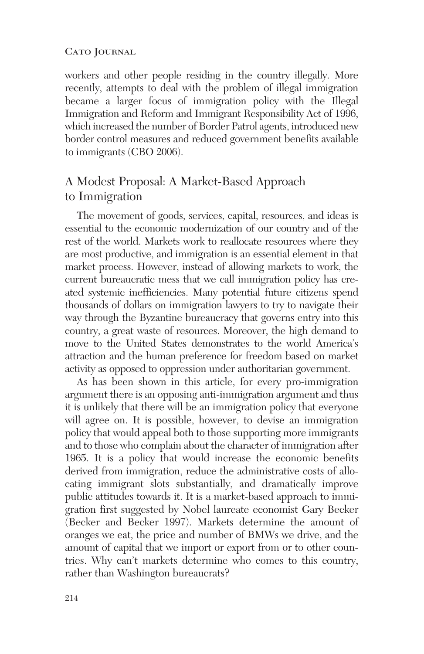workers and other people residing in the country illegally. More recently, attempts to deal with the problem of illegal immigration became a larger focus of immigration policy with the Illegal Immigration and Reform and Immigrant Responsibility Act of 1996, which increased the number of Border Patrol agents, introduced new border control measures and reduced government benefits available to immigrants (CBO 2006).

# A Modest Proposal: A Market-Based Approach to Immigration

The movement of goods, services, capital, resources, and ideas is essential to the economic modernization of our country and of the rest of the world. Markets work to reallocate resources where they are most productive, and immigration is an essential element in that market process. However, instead of allowing markets to work, the current bureaucratic mess that we call immigration policy has created systemic inefficiencies. Many potential future citizens spend thousands of dollars on immigration lawyers to try to navigate their way through the Byzantine bureaucracy that governs entry into this country, a great waste of resources. Moreover, the high demand to move to the United States demonstrates to the world America's attraction and the human preference for freedom based on market activity as opposed to oppression under authoritarian government.

As has been shown in this article, for every pro-immigration argument there is an opposing anti-immigration argument and thus it is unlikely that there will be an immigration policy that everyone will agree on. It is possible, however, to devise an immigration policy that would appeal both to those supporting more immigrants and to those who complain about the character of immigration after 1965. It is a policy that would increase the economic benefits derived from immigration, reduce the administrative costs of allocating immigrant slots substantially, and dramatically improve public attitudes towards it. It is a market-based approach to immigration first suggested by Nobel laureate economist Gary Becker (Becker and Becker 1997). Markets determine the amount of oranges we eat, the price and number of BMWs we drive, and the amount of capital that we import or export from or to other countries. Why can't markets determine who comes to this country, rather than Washington bureaucrats?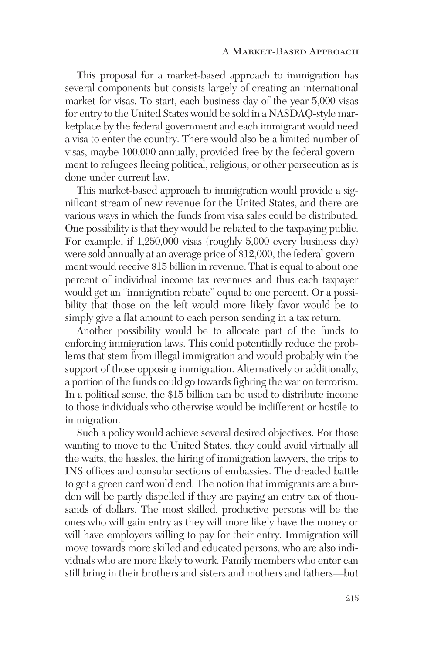This proposal for a market-based approach to immigration has several components but consists largely of creating an international market for visas. To start, each business day of the year 5,000 visas for entry to the United States would be sold in a NASDAQ-style marketplace by the federal government and each immigrant would need a visa to enter the country. There would also be a limited number of visas, maybe 100,000 annually, provided free by the federal government to refugees fleeing political, religious, or other persecution as is done under current law.

This market-based approach to immigration would provide a significant stream of new revenue for the United States, and there are various ways in which the funds from visa sales could be distributed. One possibility is that they would be rebated to the taxpaying public. For example, if 1,250,000 visas (roughly 5,000 every business day) were sold annually at an average price of \$12,000, the federal government would receive \$15 billion in revenue. That is equal to about one percent of individual income tax revenues and thus each taxpayer would get an "immigration rebate" equal to one percent. Or a possibility that those on the left would more likely favor would be to simply give a flat amount to each person sending in a tax return.

Another possibility would be to allocate part of the funds to enforcing immigration laws. This could potentially reduce the problems that stem from illegal immigration and would probably win the support of those opposing immigration. Alternatively or additionally, a portion of the funds could go towards fighting the war on terrorism. In a political sense, the \$15 billion can be used to distribute income to those individuals who otherwise would be indifferent or hostile to immigration.

Such a policy would achieve several desired objectives. For those wanting to move to the United States, they could avoid virtually all the waits, the hassles, the hiring of immigration lawyers, the trips to INS offices and consular sections of embassies. The dreaded battle to get a green card would end. The notion that immigrants are a burden will be partly dispelled if they are paying an entry tax of thousands of dollars. The most skilled, productive persons will be the ones who will gain entry as they will more likely have the money or will have employers willing to pay for their entry. Immigration will move towards more skilled and educated persons, who are also individuals who are more likely to work. Family members who enter can still bring in their brothers and sisters and mothers and fathers—but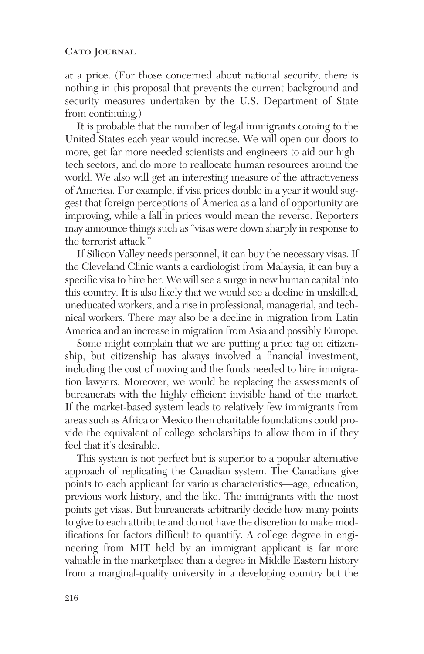at a price. (For those concerned about national security, there is nothing in this proposal that prevents the current background and security measures undertaken by the U.S. Department of State from continuing.)

It is probable that the number of legal immigrants coming to the United States each year would increase. We will open our doors to more, get far more needed scientists and engineers to aid our hightech sectors, and do more to reallocate human resources around the world. We also will get an interesting measure of the attractiveness of America. For example, if visa prices double in a year it would suggest that foreign perceptions of America as a land of opportunity are improving, while a fall in prices would mean the reverse. Reporters may announce things such as "visas were down sharply in response to the terrorist attack."

If Silicon Valley needs personnel, it can buy the necessary visas. If the Cleveland Clinic wants a cardiologist from Malaysia, it can buy a specific visa to hire her. We will see a surge in new human capital into this country. It is also likely that we would see a decline in unskilled, uneducated workers, and a rise in professional, managerial, and technical workers. There may also be a decline in migration from Latin America and an increase in migration from Asia and possibly Europe.

Some might complain that we are putting a price tag on citizenship, but citizenship has always involved a financial investment, including the cost of moving and the funds needed to hire immigration lawyers. Moreover, we would be replacing the assessments of bureaucrats with the highly efficient invisible hand of the market. If the market-based system leads to relatively few immigrants from areas such as Africa or Mexico then charitable foundations could provide the equivalent of college scholarships to allow them in if they feel that it's desirable.

This system is not perfect but is superior to a popular alternative approach of replicating the Canadian system. The Canadians give points to each applicant for various characteristics—age, education, previous work history, and the like. The immigrants with the most points get visas. But bureaucrats arbitrarily decide how many points to give to each attribute and do not have the discretion to make modifications for factors difficult to quantify. A college degree in engineering from MIT held by an immigrant applicant is far more valuable in the marketplace than a degree in Middle Eastern history from a marginal-quality university in a developing country but the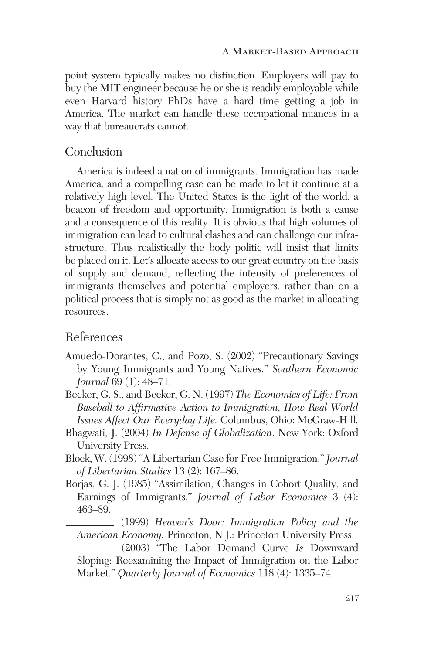point system typically makes no distinction. Employers will pay to buy the MIT engineer because he or she is readily employable while even Harvard history PhDs have a hard time getting a job in America. The market can handle these occupational nuances in a way that bureaucrats cannot.

# Conclusion

America is indeed a nation of immigrants. Immigration has made America, and a compelling case can be made to let it continue at a relatively high level. The United States is the light of the world, a beacon of freedom and opportunity. Immigration is both a cause and a consequence of this reality. It is obvious that high volumes of immigration can lead to cultural clashes and can challenge our infrastructure. Thus realistically the body politic will insist that limits be placed on it. Let's allocate access to our great country on the basis of supply and demand, reflecting the intensity of preferences of immigrants themselves and potential employers, rather than on a political process that is simply not as good as the market in allocating resources.

# References

- Amuedo-Dorantes, C., and Pozo, S. (2002) "Precautionary Savings by Young Immigrants and Young Natives." *Southern Economic Journal* 69 (1): 48–71.
- Becker, G. S., and Becker, G. N. (1997) *The Economics of Life: From Baseball to Affirmative Action to Immigration, How Real World Issues Affect Our Everyday Life.* Columbus, Ohio: McGraw-Hill.
- Bhagwati, J. (2004) *In Defense of Globalization*. New York: Oxford University Press.
- Block, W. (1998) "A Libertarian Case for Free Immigration." *Journal of Libertarian Studies* 13 (2): 167–86.
- Borjas, G. J. (1985) "Assimilation, Changes in Cohort Quality, and Earnings of Immigrants." *Journal of Labor Economics* 3 (4): 463–89.

(1999) *Heaven's Door: Immigration Policy and the American Economy.* Princeton, N.J.: Princeton University Press.

(2003) "The Labor Demand Curve *Is* Downward Sloping: Reexamining the Impact of Immigration on the Labor Market." *Quarterly Journal of Economics* 118 (4): 1335–74.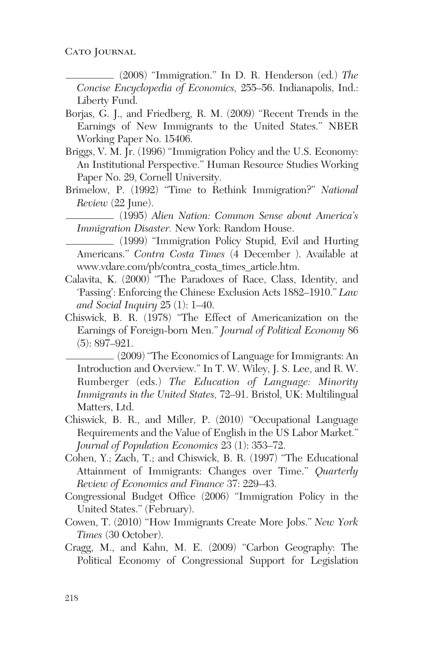(2008) "Immigration." In D. R. Henderson (ed.) *The Concise Encyclopedia of Economics,* 255–56. Indianapolis, Ind.: Liberty Fund.

- Borjas, G. J., and Friedberg, R. M. (2009) "Recent Trends in the Earnings of New Immigrants to the United States." NBER Working Paper No. 15406.
- Briggs, V. M. Jr. (1996) "Immigration Policy and the U.S. Economy: An Institutional Perspective." Human Resource Studies Working Paper No. 29, Cornell University.
- Brimelow, P. (1992) "Time to Rethink Immigration?" *National Review* (22 June).
- (1995) *Alien Nation: Common Sense about America's Immigration Disaster.* New York: Random House.

(1999) "Immigration Policy Stupid, Evil and Hurting Americans." *Contra Costa Times* (4 December ). Available at www.vdare.com/pb/contra\_costa\_times\_article.htm.

- Calavita, K. (2000) "The Paradoxes of Race, Class, Identity, and 'Passing': Enforcing the Chinese Exclusion Acts 1882–1910." *Law and Social Inquiry* 25 (1): 1–40.
- Chiswick, B. R. (1978) "The Effect of Americanization on the Earnings of Foreign-born Men." *Journal of Political Economy* 86 (5): 897–921.

(2009) "The Economics of Language for Immigrants: An Introduction and Overview." In T. W. Wiley, J. S. Lee, and R. W. Rumberger (eds.) *The Education of Language: Minority Immigrants in the United States,* 72–91. Bristol, UK: Multilingual Matters, Ltd.

- Chiswick, B. R., and Miller, P. (2010) "Occupational Language Requirements and the Value of English in the US Labor Market." *Journal of Population Economics* 23 (1): 353–72.
- Cohen, Y.; Zach, T.; and Chiswick, B. R. (1997) "The Educational Attainment of Immigrants: Changes over Time." *Quarterly Review of Economics and Finance* 37: 229–43.
- Congressional Budget Office (2006) "Immigration Policy in the United States." (February).
- Cowen, T. (2010) "How Immigrants Create More Jobs." *New York Times* (30 October).
- Cragg, M., and Kahn, M. E. (2009) "Carbon Geography: The Political Economy of Congressional Support for Legislation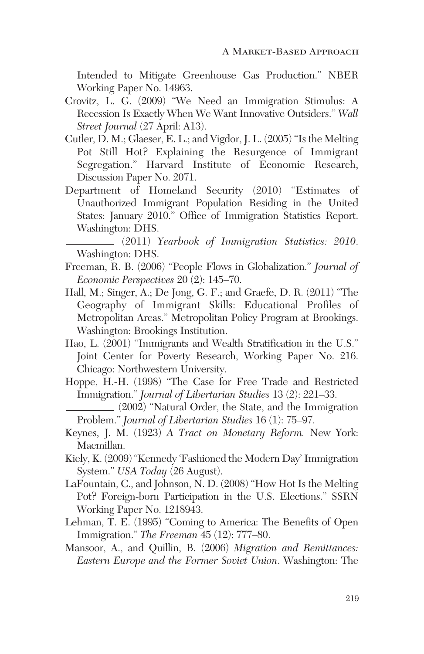Intended to Mitigate Greenhouse Gas Production." NBER Working Paper No. 14963.

- Crovitz, L. G. (2009) "We Need an Immigration Stimulus: A Recession Is Exactly When We Want Innovative Outsiders." *Wall Street Journal* (27 April: A13).
- Cutler, D. M.; Glaeser, E. L.; and Vigdor, J. L. (2005) "Is the Melting Pot Still Hot? Explaining the Resurgence of Immigrant Segregation." Harvard Institute of Economic Research, Discussion Paper No. 2071.
- Department of Homeland Security (2010) "Estimates of Unauthorized Immigrant Population Residing in the United States: January 2010." Office of Immigration Statistics Report. Washington: DHS.

(2011) *Yearbook of Immigration Statistics: 2010*. Washington: DHS.

- Freeman, R. B. (2006) "People Flows in Globalization." *Journal of Economic Perspectives* 20 (2): 145–70.
- Hall, M.; Singer, A.; De Jong, G. F.; and Graefe, D. R. (2011) "The Geography of Immigrant Skills: Educational Profiles of Metropolitan Areas." Metropolitan Policy Program at Brookings. Washington: Brookings Institution.
- Hao, L. (2001) "Immigrants and Wealth Stratification in the U.S." Joint Center for Poverty Research, Working Paper No. 216. Chicago: Northwestern University.
- Hoppe, H.-H. (1998) "The Case for Free Trade and Restricted Immigration." *Journal of Libertarian Studies* 13 (2): 221–33.

(2002) "Natural Order, the State, and the Immigration Problem." *Journal of Libertarian Studies* 16 (1): 75–97.

- Keynes, J. M. (1923) *A Tract on Monetary Reform.* New York: Macmillan.
- Kiely, K. (2009) "Kennedy 'Fashioned the Modern Day' Immigration System." *USA Today* (26 August).
- LaFountain, C., and Johnson, N. D. (2008) "How Hot Is the Melting Pot? Foreign-born Participation in the U.S. Elections." SSRN Working Paper No. 1218943.
- Lehman, T. E. (1995) "Coming to America: The Benefits of Open Immigration." *The Freeman* 45 (12): 777–80.
- Mansoor, A., and Quillin, B. (2006) *Migration and Remittances: Eastern Europe and the Former Soviet Union*. Washington: The